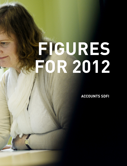# **figures FOR 2012**

**Accounts SDFI**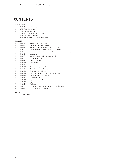# **Contents**

#### **Accounts SDFI**

- SDFI Appropriation accounts
- 44 SDFI Capital accounts<br>45 SDFI Income statemen
- 45 SDFI Income statement<br>46 SDFI Balance sheet at 3
- SDFI Balance sheet at 31 December
- SDFI Cash flow statement
- SDFI Notes (Norwegian Accounting Act)

#### **Notes SDFI**

| 50 | Note 1  | Asset transfers and changes                                      |
|----|---------|------------------------------------------------------------------|
| 51 | Note 2  | Specification of fixed assets                                    |
| 51 | Note 3  | Specification of operating revenue by area                       |
| 52 | Note 4  | Specification of operating revenue by product                    |
| 52 | Note 5  | Specification of production and other operating expenses by area |
| 52 | Note 6  | Inventories                                                      |
| 53 | Note 7  | Interest (appropriation accounts only)                           |
| 53 | Note 8  | Net financial items                                              |
| 53 | Note 9  | Close associates                                                 |
| 54 | Note 10 | Trade debtors                                                    |
| 54 | Note 11 | Investment in associate                                          |
| 54 | Note 12 | Abandonment/removal                                              |
| 55 | Note 13 | Other long-term liabilities                                      |
| 55 | Note 14 | Other current liabilities                                        |
| 55 | Note 15 | Financial instruments and risk management                        |
| 56 | Note 16 | Leases/contractual liabilities                                   |
| 57 | Note 17 | Other liabilities                                                |
| 57 | Note 18 | Significant estimates                                            |
| 57 | Note 19 | Equity                                                           |
| 58 | Note 20 | Auditors                                                         |
| 58 | Note 21 | Expected remaining oil and gas reserves (unaudited)              |
| 59 | Note 22 | SDFI overview of interests                                       |
|    |         |                                                                  |

#### **Auditor**

Auditor´s report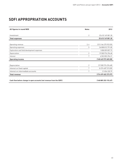# **SDFI appropriation accounts**

| All figures in round NOK                                             | <b>Notes</b>   | 2012                 |
|----------------------------------------------------------------------|----------------|----------------------|
|                                                                      |                |                      |
| Investment                                                           | 2              | 25 610 149 081.30    |
| <b>Total expenses</b>                                                |                | 25 610 149 081.30    |
|                                                                      |                |                      |
| Operating revenue                                                    | 3, 4           | (213 166 275 923.55) |
| Operating expenses                                                   | 5              | 36 808 813 791.85    |
| Exploration and field development expenses                           |                | 1858 059 857.73      |
| Depreciation                                                         | $\overline{2}$ | 19 500 976 296.68    |
| Interest                                                             | 7              | 6 552 853 294.21     |
| <b>Operating income</b>                                              |                | (148 445 572 683.08) |
|                                                                      |                |                      |
| Depreciation                                                         | 2              | (19 500 976 296.68)  |
| Interest on fixed capital                                            | 7              | (6574687515.00)      |
| Interest on intermediate accounts                                    | 7              | 21 834 220.79        |
| <b>Total revenue</b>                                                 |                | (174 499 402 273.97) |
|                                                                      |                |                      |
| Cash flow before change in open accounts (net revenue from the SDFI) |                | (148 889 253 192.67) |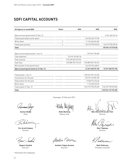# **sDfi cApitAL AccOunts**

| All figures in round NOK             | <b>Notes</b>   | <b>NOK</b>           | <b>NOK</b>           | <b>NOK</b>           |
|--------------------------------------|----------------|----------------------|----------------------|----------------------|
|                                      |                |                      |                      |                      |
| Open account government 31 Dec 12    |                |                      |                      | 2 331 348 515.18     |
| Fixed assets before write-down       |                |                      | 164 333 466 917.98   |                      |
| Write-down                           | $\overline{2}$ |                      | [1 122 668 422.48]   |                      |
| Fixed asset account                  | $\overline{2}$ |                      | 163 210 798 495.50   | 163 210 798 495.50   |
| <b>Total</b>                         |                |                      |                      | 165 542 147 010.68   |
|                                      |                |                      |                      |                      |
| Open account government 1 Jan 12     |                |                      | (372091750.58)       |                      |
| Total expenses                       |                | 25 610 149 081.30    |                      |                      |
| Total revenue                        |                | (174 499 402 273.97) |                      |                      |
| Cash flow                            |                | [148 889 253 192.67] | [148 889 253 192.67] |                      |
| Net transfer to the government       |                |                      | 146 929 996 428.07   |                      |
| Open account government at 31 Dec 12 |                |                      | (2 331 348 515.18)   | (2 331 348 515.18)   |
|                                      |                |                      |                      |                      |
| Fixed assets 1 Jan 12                |                |                      | (158 224 294 133.36) |                      |
| Investments for the year             |                |                      | (25 610 149 081.30)  |                      |
| Depreciation for the year            |                |                      | 19 500 976 296.68    |                      |
| Write-down                           |                |                      | 1 122 668 422.48     |                      |
| Fixed assets 31 Dec 12               |                |                      | (163210798495.50)    | (163210798495.50)    |
| <b>Total</b>                         |                |                      |                      | (165 542 147 010.68) |

**gunnar Berge** Chair

**per Arvid schøyen** Director

**ragnar sandvik** Director\*

\* Elected by the employees

Stavanger, 22 February 2013

**hilde myrberg** Deputy chair

Anniken T Graven

**Anniken teigen gravem** Director\*

 $\iota$ **nils-henrik m von der fehr**

Director

**mari thjømøe** Director

**Kjell pedersen** President and CEO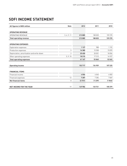# **SDFI income statement**

| All figures in NOK million                | <b>Note</b>    | 2012    | 2011    | 2010    |
|-------------------------------------------|----------------|---------|---------|---------|
|                                           |                |         |         |         |
| <b>OPERATING REVENUE</b>                  |                |         |         |         |
| <b>OPERATING REVENUE</b>                  | 3, 4, 9, 11    | 213885  | 188 820 | 159 270 |
| <b>Total operating revenue</b>            |                | 213885  | 188 820 | 159 270 |
|                                           |                |         |         |         |
| <b>OPERATING EXPENSES</b>                 |                |         |         |         |
| <b>Exploration expenses</b>               |                | 1 1 2 7 | 988     | 1 1 9 2 |
| Production expenses                       | 5              | 16 380  | 15 508  | 15870   |
| Depreciation, amortisation and write-down | $\overline{2}$ | 25 450  | 20 051  | 18056   |
| Other operating expenses                  | 5, 9, 10       | 18 210  | 17313   | 16 9 27 |
| <b>Total operating expenses</b>           |                | 61 167  | 53 860  | 52045   |
|                                           |                |         |         |         |
| <b>Operating income</b>                   |                | 152 717 | 134 959 | 107 225 |
|                                           |                |         |         |         |
| <b>FINANCIAL ITEMS</b>                    |                |         |         |         |
| Financial income                          |                | 4556    | 6045    | 6 0 0 3 |
| Financial expenses                        | 12             | 7 287   | 7 2 8 4 | 7849    |
| <b>Net financial items</b>                | 8              | (2731)  | (1239)  | (1846)  |
|                                           |                |         |         |         |
| <b>NET INCOME FOR THE YEAR</b>            | 19             | 149 986 | 133721  | 105 379 |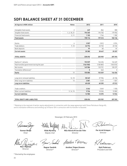# **sDfi BALAnce sheet At 31 DecemBer**

| All figures in NOK million                | <b>Notes</b>   | 2012         | 2011     | 2010     |
|-------------------------------------------|----------------|--------------|----------|----------|
|                                           |                |              |          |          |
| Intangible fixed assets                   | $\overline{2}$ | 649          | 864      | 800      |
| Tangible fixed assets                     | 1, 2, 18, 21   | 196 365      | 194 702  | 179 953  |
| <b>Financial fixed assets</b>             | 2, 11          | 1 1 0 2      | 1746     | 1382     |
| <b>Fixed assets</b>                       |                | 198 116      | 197312   | 182 136  |
|                                           |                |              |          |          |
| <b>Stocks</b>                             | 6              | 3507         | 2812     | 2074     |
| Trade debtors                             | 9,10           | 26776        | 25 7 5 2 | 23 102   |
| Bank deposits                             |                | 97           | 83       | 81       |
| <b>Current assets</b>                     |                | 30 380       | 28 647   | 25 25 7  |
|                                           |                |              |          |          |
| <b>TOTAL ASSETS</b>                       |                | 228 496      | 225 959  | 207 392  |
|                                           |                |              |          |          |
| Equity at 1 January                       |                | 152029       | 146 456  | 144 649  |
| Paid from/(to) government during the year |                | (146930)     | (128083) | (103572) |
| Net income                                |                | 149 986      | 133 721  | 105 379  |
| Translation differences*                  |                | $\mathbf{0}$ | [64]     | $\Box$   |
| <b>Equity</b>                             | 19             | 155 085      | 152 029  | 146 456  |
|                                           |                |              |          |          |
| Long-term removal liabilities             | 12, 18         | 58 349       | 57 906   | 45 186   |
| Other long-term liabilities               | 13             | 2081         | 2449     | 1827     |
| <b>Long-term liabilities</b>              |                | 60 430       | 60 355   | 47012    |
|                                           |                |              |          |          |
| Trade creditors                           |                | 3 2 4 4      | 3049     | 1920     |
| Other current liabilities                 | 9, 14, 15      | 9736         | 10526    | 12 003   |
| <b>Current liabilities</b>                |                | 12 980       | 13575    | 13924    |
|                                           |                |              |          |          |
| <b>TOTAL EQUITY AND LIABILITIES</b>       |                | 228 496      | 225 959  | 207 392  |

\* Relating to the reversal of earlier equity adjustments in connection with the swap agreement with Faroe Petroleum Norge AS, and to translation difference and winding-up of Etanor DA in connection with its transfer to Gassled.

> **ragnar sandvik** Director\*

**hilde myrberg** Deputy chair

**gunnar Berge** Chair

bИ **mari thjømøe**

Director

\* Elected by the employees

Stavanger, 22 February 2013

**nils-henrik m von der fehr** Director

Mikin T Graven

**Anniken teigen gravem** Director\*

**per Arvid schøyen** Director

**Kjell pedersen** President and CEO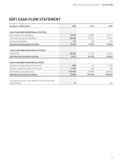# **SDFI CASH FLOW STATEMENT**

| All figures in NOK million                                                    | 2012     | 2011     | 2010      |
|-------------------------------------------------------------------------------|----------|----------|-----------|
|                                                                               |          |          |           |
| <b>CASH FLOW FROM OPERATIONAL ACTIVITIES</b>                                  |          |          |           |
| Cash receipts from operations                                                 | 213095   | 183881   | 157311    |
| Cash disbursements to operations                                              | (38650)  | [34 742] | (34060)   |
| Net interest payments                                                         | (54)     | [66]     | (41)      |
| Cash flow from operational activities                                         | 174 499  | 149 205  | 123 210   |
|                                                                               |          |          |           |
| <b>CASH FLOW FROM INVESTMENT ACTIVITIES</b>                                   |          |          |           |
| Investments                                                                   | (25610)  | [21 437] | [18, 443] |
| <b>Cash flow from investment activities</b>                                   | 25 6 10  | [21 437] | (18443)   |
|                                                                               |          |          |           |
| <b>CASH FLOW FROM FINANCING ACTIVITIES</b>                                    |          |          |           |
| Change in working capital in the licences                                     | (789)    | 621      | (1740)    |
| Change in under/over calls in the licences                                    | (1157)   | (303)    | 498       |
| Net transfer to the government                                                | (146930) | [128083] | (103572)  |
| <b>Cash flow from financing activities</b>                                    | 148876   | (127766) | (104814)  |
|                                                                               |          |          |           |
| Increase/(decrease) in bank deposits of partnerships with<br>shared liability | 13       | 3        | [46]      |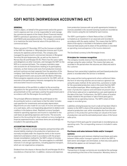# **SDFI notes (Norwegian Accounting Act)**

#### General

Petoro's object, on behalf of the government and at the government's expense and risk, is to be responsible for and manage the commercial aspects of the State's Direct Financial Interest (SDFI) in petroleum operations on the Norwegian continental shelf (NCS) and associated activities. The company's overall goal is to maximise the total financial value of the portfolio on a commercial basis.

Petoro served at 31 December 2012 as the licensee on behalf of the SDFI for interests in 158 production licences and 15 joint ventures for pipelines and terminals. The company also managed the government's commercial interests in Mongstad Terminal DA and Vestprosess DA, as well as the shares in Norsea Gas AS and Norpipe Oil AS. Petoro has the same rights and obligations as other licensees, and manages the SDFI on the NCS on a commercial basis. The company maintains separate accounts for all transactions relating to its participatory interests, so that revenue and costs from production licences and joint ventures are kept separate from the operation of the company. Cash flows from the portfolio are transferred to the central government's own accounts with the Bank of Norway. Petoro prepares separate annual accounts for the SDFI, with an overview of the participatory interests managed by the company and associated resource accounting.

Administration of the portfolio is subject to the accounting regulations for the government. Accounts for the portfolio are presented both on the cash basis used by the government and in accordance with the Norwegian Accounting Act.

The principal difference between the profit based on the Accounting Act and on a cash basis is that the latter includes cash payment for investments and excludes depreciation. Adjustments are also made for accruals of income and expenses on a cash basis, with a corresponding adjustment to debtors and creditors in the balance sheet. Realised currency loss/gain related to operating expenses and income is classified on the cash basis as operating expenses and income. The accounts based on the Accounting Act show realised currency loss/gain as financial expenses/income, and these items are accordingly not included in the operating profit.

#### Accounting principles

The SDFI's interests in limited companies and partnerships with shared liability relating to the production of petroleum are normally included under the respective items in the income statement and balance sheet in accordance with the proportionate consolidation method for the SDFI's share of income, expenses, assets and liabilities. The same applies to undivided interests in oil and gas operations, including pipeline transport, which are not organised as companies.

Dividend from the shares in Norsea Gas AS and Norpipe Oil AS is recorded as a financial item. In addition, revenue and expenses

from production licences with net profit agreements (relates to licences awarded in the second licensing round) are recorded as other income using the net method for each licence.

The SDFI's participation in Statoil Natural Gas LLC (SNG) is treated as an investment in an associate and recorded in accordance with the equity method. This means that the SDFI's share of the equity is recorded in the balance sheet under financial fixed assets and its share of the profit/loss is recorded as operating revenue/expense in the income statement.

The functional currency is the Norwegian krone.

#### Principles for revenue recognition

The company records revenue from the production of oil, NGL and gas using the sales method. This means that sales are recorded in the period when the volumes are lifted and sold to the customer.

Revenue from ownership in pipelines and land-based production plants is recorded when the service is rendered.

Gas swap and borrowing agreements where settlement takes the form of returning volumes are accrued as a general rule using the sales method. At the same time, a provision is made for the associated production costs in the event that the SDFI has lent/borrowed gas. When lending gas from the SDFI, the lower of production expense and estimated net present value of the future sales price is capitalised as a pre-paid expense at the date of the loan. Furthermore, the SDFI's share of location swaps related to the purchase or sale of third-party gas is recorded net as operating revenue. The SDFI's share of time swaps is recorded gross.

Liabilities arising because too much crude oil has been lifted in relation to the SDFI's share of the production partnership are valued at production cost, while receivables due from the other partners in the production partnerships are valued at the lower of production cost and the estimated present value of the future sales price.

Purchase of third-party gas for onward sale is recorded gross as operating costs. The corresponding revenue is included in sales income.

#### Purchases and sales between fields and/or transport systems

Internal expenses and revenues relating to purchases and sales between fields and/or transport systems in which the SDFI is both owner and shipper are eliminated, so that only costs paid to third parties appear as net transport costs.

#### Foreign currencies

Transactions in foreign currencies are recorded at the exchange rate prevailing at the time of the transaction. Monetary items in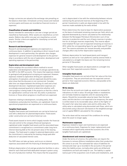foreign currencies are valued at the exchange rate prevailing on the balance sheet date. Unrealised currency losses and realised currency gains and losses are recorded as financial income or expenses.

#### Classification of assets and liabilities

Assets intended for ownership or use over a longer period are classified as fixed assets. Other assets are classified as current assets. Debtors due within one year are classified as current assets. Similar criteria are applied for classifying current and long-term liabilities.

#### Research and development

Research and development expenses are expensed on a continuous basis. In addition to spending on direct research and development in each partnership, the operator also charges expenses for general research and development to the partnership in accordance with the size of exploration, development and operating expenses in the partnership.

#### Exploration and development costs

Petoro employs the successful-efforts method to record exploration and development costs for oil and gas operations by the SDFI in the SDFI accounts. This means that expenses related to geological and geophysical surveying are expensed. However, expenses related to exploration drilling are capitalised in anticipation of evaluation, and are expensed should the evaluation show that the discovery is not commercial. Considerable time can elapse between the drilling of a well and a final development decision. Capitalised exploration expenses are accordingly assessed quarterly to determine whether sufficient progress is being made in the projects so that the criteria for capitalisation continue to be met. Dry wells in production licences or those where progress is insufficient are expensed.

Expenses relating to development, including wells, field installations and production facilities, are capitalised. Costs for operational preparations are expensed on a continuous basis.

#### Tangible fixed assets

Tangible fixed assets and investments are carried at historical cost with a deduction for planned depreciation. Fixed assets under construction are carried at historical cost.

Fixed assets leased on terms which largely transfer the financial risk and control to the company (financial leasing) are capitalised under tangible fixed assets and the associated lease commitment is recognised as a commitment under long-term interest-bearing debt at the net present value of the leasing charges. The fixed asset is subject to planned depreciation, and the commitment is reduced by the leasing charge paid after deduction of calculated interest costs.

The SDFI does not take up loans, and incurs no interest expenses associated with the financing of development projects.

Ordinary depreciation of oil and gas production facilities is calculated for each field and field-dedicated transport system using the unit of production method. This means that the acquisition

cost is depreciated in line with the relationship between volume sold during the period and reserves at the beginning of the period. Investments in wells are depreciated in line with the reserves made available by the wells drilled.

Petoro determines the reserve base for depreciation purposes on the basis of estimated remaining reserves per field, which are adjusted downwards by a factor calculated as the relationship between the Norwegian Petroleum Directorate's sum of low reserves in production and the sum of basis reserves in production for oil and gas reserves respectively. This reserve adjustment totalled 70.3 per cent of expected remaining oil reserves in 2012, while the corresponding figure for gas fields was 87.3 per cent. The reserve estimates are revised annually, and possible changes affect only further depreciation expenses.

Ordinary depreciation for land-based plants and transport systems as well as for riser platforms used by several fields is calculated on a straight-line basis over the remaining licence period at 31 December.

Other tangible fixed assets are depreciated on a straight-line basis over their expected economic lifetime.

#### Intangible fixed assets

Intangible fixed assets are carried at their fair value at the time of acquisition. They are amortised over the expected contract period or their expected economic lifetime, and possible writedowns are deducted.

#### Write-downs

Each time the accounts are made up, assets are reviewed for indications of a fall in value. Oil and gas fields or installations are normally treated as separate units for assessing writedowns. Should the recoverable value be lower than the book value, and this decline is not expected to be temporary, the asset is written down to its recoverable value, which is the higher of the asset's fair value less sales costs and its utility value. The utility value is calculated using discounted cash flows, which are discounted using a discount rate based on the weighted average cost of capital (WACC) calculated for the company.

The write-down will be reversed if the conditions for writing down the asset no longer apply.

#### Maintenance expenses

Expenses related to repair and maintenance are expensed on a continuous basis. Expenses for major replacements and renewals which significantly extend the economic life of the tangible fixed assets are capitalised.

#### Abandonment and removal expenses

Under the terms of a licence, the authorities can require the licensees to remove offshore installations when their production life comes to an end. The estimated fair value of liabilities for removal and clear-up is recorded in the accounts in the period when the liability arises, normally when wells are drilled and installations are built and ready for use. The liability is capitalised as part of the acquisition cost of wells and installations, and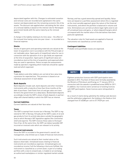depreciated together with this. Changes to estimated cessation and removal costs are recorded and capitalised in the same manner and depreciated over the remaining economic life of the assets. The discount rate applied when calculating the fair value of a removal liability is based on the interest rate for Norwegian government bonds with the same maturity as the removal liability.

A change in the liability relating to its time value – the effect of the removal time having come one year closer – is recorded as a financial expense.

#### **Stocks**

Stocks of spare parts and operating materials are valued at the lower of acquisition cost in accordance with the Fifo principle or net realisable value. Spare parts of insignificant value for use in connection with the operation of oil or gas fields are expensed at the time of acquisition. Spare parts of significant value are recorded as stock at the time of acquisition and expensed when they are used in operations. Petoro accepts the assessments made by operators regarding which materials should be capitalised and which expensed.

#### **Debtore**

Trade debtors and other debtors are carried at face value less a provision for expected loss. This provision is based on an individual assessment of each debtor.

#### Bank deposits

Bank deposits include cash, bank deposits and other monetary instruments with a maturity of less than three months at the date of purchase. Cash flows from oil and gas sales are transferred to the government on a daily basis. Booked bank deposits accordingly include the SDFI's share of bank deposits in partnerships with shared liability in which the SDFI has an interest.

#### Current liabilities

Current liabilities are valued at their face value.

#### Taxes

The SDFI is exempt from income tax in Norway. The SDFI is registered for VAT in Norway. Virtually all the SDFI's sales of oil and gas products from its activity take place outside the geographic area to which Norway's VAT legislation applies (the continental shelf and exports). The SDFI invoices these sales to the buyer free of tax. At the same time, the SDFI can deduct possible VAT incurred on invoiced costs which are relevant to its activity.

#### Financial instruments

Since the SDFI is included in the government's overall risk management, only limited use is made of financial instruments.

Such instruments are valued at their market value on the balance sheet date. Unrealised losses relating to financial instruments are recorded as expenses. Unrealised gains are recorded as income if all the following criteria are fulfilled: the instrument is classified as a current asset, is part of a trading portfolio with a view to onward sale, is traded on an exchange, an authorised marketplace or similar regulated market outside Norway, and has a good ownership spread and liquidity. Valuations are based on a portfolio assessment where this is regarded as the most sensible approach given the nature of the financial instruments, and where the portfolio is balanced in volume and time. Eliminations are carried out where legal rights exist to set off unrealised loses and gains, or where deposit/margins which correspond with the market value of the derivatives have been paid and capitalised.

The valuation rules for fixed assets are applied to financial instruments not classified as current assets.

#### Contingent liabilities

Probable and quantifiable losses are expensed.

#### NOTE 1 ASSET TRANSFERS AND CHANGES

Eighteen production licences with SDFI participation were awarded in 2012. Fourteen of these were formally awarded by the Ministry of Petroleum and Energy on 17 January 2012 in connection with the awards in predefined areas (APA) for 2011. In addition, four licences were carved out of existing licences with SDFI participation. Seven licences were relinquished in 2012.

As a result of claims being upheld by the sliding scale decision and the arbitration judgement, the holding in the Heidrun Unit changed from 57.40288 per cent to 57.79339 per cent.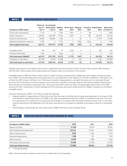#### SPECIFICATION OF FIXED ASSETS **NOTE 2**

| All figures in NOK million         | Historical<br>cost at 1<br><b>Jan 12</b> | Accumulated<br>depreciation<br>1 Jan 12 | <b>Addition</b><br>2012 | Write-down<br>2012 | <b>Disposal</b><br>2012 | Transfers<br>2012 | <b>Depreciation</b><br>2012 | <b>Book value</b><br>at 31 Dec 12 |
|------------------------------------|------------------------------------------|-----------------------------------------|-------------------------|--------------------|-------------------------|-------------------|-----------------------------|-----------------------------------|
| Fields under development           | 1 2 1 4                                  | 0                                       | 2954                    | (391)              | 0                       | 88                | 0                           | 3865                              |
| Fields in operation                | 400 652                                  | [243 187]                               | 21 3 5 4                | (547)              | 0                       | 357               | [22 495]                    | 156 134                           |
| Pipelines and terminals            | 60 538                                   | (28824)                                 | 1605                    | 2                  | (2)                     | 0                 | (1737)                      | 31 582                            |
| Capitalised exploration expenses   | 4309                                     | 0                                       | 1 3 7 4                 | 0                  | (455)                   | [446]             | 0                           | 4783                              |
| <b>Total tangible fixed assets</b> | 466713                                   | (272 011)                               | 27 287                  | (935)              | (457)                   | 0                 | (24232)                     | 196 365                           |
|                                    |                                          |                                         |                         |                    |                         |                   |                             |                                   |
| Intangible assets                  | 960                                      | (96)                                    | 70                      | [243]              | 0                       | 0                 | (42)                        | 649                               |
| Financial fixed assets             | 1746                                     | 0                                       | (644)                   | 0                  | 0                       | 0                 | 0                           | 1 1 0 2                           |
| <b>Total fixed assets (NGAAP)</b>  | 469419                                   | (272107)                                | 26713                   | (1179)             | (457)                   | 0                 | (24273)                     | 198 116                           |
| Translation to cash basis          | (51909)                                  | 23 693                                  | (1038)                  | 0                  | 455                     | 0                 | 4766                        | [34, 905]                         |
| Total fixed assets on cash basis   | 417510                                   | (248 414)                               | 25 6 75                 | (1179)             | (2)                     | 0                 | (19507)                     | 163 211                           |

Tangible fixed assets for the Snøhvit field include a capitalised long-term financial charter for three ships used for LNG transport from the field. These vessels will be depreciated over 20 years, which is the duration of the charter.

Intangible assets of NOK 649 million relate mainly to rights in the gas storage facility at Aldbrough, which began commercial operation in 2009. The whole facility with nine storage caverns is now operational. Total capacity for the SDFI and Statoil is 100 million scm, of which the SDFI's share is 48.3 per cent. The amount invested is depreciated on a straight-line basis over the estimated 25-year economic life. On the basis of technical reports concerning lower utilisation of storage capacity and reduced volatility, Statoil wrote down the value of the facility in December 2012. The value of the SDFI's share has been correspondingly written down in the SDFI accounts for 2012. Investment in further development of the Etzel gas store and a small amount for Åsgard Transport are included in intangible assets.

Financial fixed assets of NOK 1 102 million include the following.

- • Capacity rights for regasification of LNG at the Cove Point terminal in the USA, with an associated agreement on the sale of LNG from Snøhvit to Statoil Natural Gas LLC (SNG) in the USA, reclassified with effect from 2009 as a financial fixed asset. This activity is assessed as an investment in an associate and recorded in accordance with the equity method. See also note 11. The share of profits earned up to 30 September 2012 has been reversed and is recorded as a dividend in the balance sheet at 31 December 2012.
- Shareholdings in Norsea Gas AS, with a book value of NOK 3.98 million, and in Norpipe Oil AS.

#### Specification of operating revenue by area **NOTE 3**

| All figures in NOK million     | 2012   | 2011    | 2010    |
|--------------------------------|--------|---------|---------|
| Mature oil fields              | 61690  | 59494   | 58 352  |
| Gas fields/new developments*   | 142416 | 121 481 | 95 576  |
| Other infrastructure           | 2548   | 2566    | 2 2 7 5 |
| Net profit agreements          | 1085   | 951     | 876     |
| Other revenue                  | 10785  | 9080    | 6566    |
| Elimination internal sales     | (4640) | (4752)  | (4375)  |
| <b>Total operating revenue</b> | 213885 | 188820  | 159 270 |

• \* Includes Gassled.

Other revenue primarily comprises revenue from onward sale of purchased gas.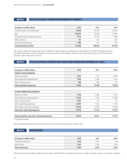#### NOTE<sub>4</sub>

## Specification of operating revenue by product

| All figures in NOK million       | 2012    | 2011   | 2010    |
|----------------------------------|---------|--------|---------|
| Crude oil, NGL and condensate    | 96 320  | 95 375 | 81 019  |
| Gas                              | 106 442 | 81 683 | 67964   |
| Transport and processing revenue | 9913    | 10 178 | 8989    |
| Other revenue                    | 124     | 633    | 422     |
| Net profit agreements            | 1085    | 951    | 876     |
| <b>Total operating revenue</b>   | 213855  | 188820 | 159 270 |

All crude oil, NGL and condensate from the SDFI are sold to Statoil, and all gas is sold by Statoil at the SDFI's expense and risk. Virtually all the gas is sold to customers in Europe, and the three largest customers purchase about 30 per cent of the annual volumes under long-term contracts.

NOTE<sub>5</sub>

## Specification of production and other operating expenses by area

| All figures in NOK million       | 2012   | 2011   | 2010  |
|----------------------------------|--------|--------|-------|
| <b>PRODUCTION EXPENSES</b>       |        |        |       |
| Mature oil fields                | 8722   | 7752   | 8929  |
| Gas fields/new developments*     | 7003   | 6948   | 6765  |
| Other infrastructure             | 655    | 808    | 175   |
| <b>Total production expenses</b> | 16 380 | 15 508 | 15870 |

| <b>OTHER OPERATING EXPENSES</b>               |        |         |         |
|-----------------------------------------------|--------|---------|---------|
| Mature oil fields                             | 2748   | 2866    | 3 2 1 0 |
| Gas fields/new developments*                  | 10 332 | 9906    | 10 280  |
| Other infrastructure                          | (233)  | 129     | 81      |
| Other operating expenses                      | 10 003 | 9 1 6 4 | 7 7 3 1 |
| Elimination internal purchases                | (4640) | (4752)  | [4375]  |
| <b>Total other operating expenses</b>         | 18 210 | 17313   | 16927   |
|                                               |        |         |         |
| Total production and other operating expenses | 34590  | 32821   | 32797   |

\* includes Gassled

Other operating expenses primarily comprise the cost of purchasing gas for onward sale.

Note 6 Inventories

| All figures in NOK million | 2012 | 2011  | 2010 |
|----------------------------|------|-------|------|
| Petroleum products         | 1460 | 1 031 | 168  |
| Spare parts                | 2047 | 1781  | 906  |
| <b>Total inventories</b>   | 3507 | 2812  | 2074 |

Petroleum products embrace LNG and natural gas. The SDFI does not hold inventories of crude oil, which is sold in its entirety to Statoil.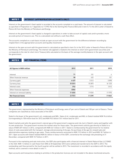#### Interest (appropriation accounts only) **NOTE 7**

Interest on the government's fixed capital is recorded in the accounts compiled on a cash basis. The amount of interest is calculated as specified in Proposition no 1 Appendix no 7 (1993-94) to the Storting (the Finance Bill) and in item 5.7 in the 2012 Letter of Award to Petoro AS from the Ministry of Petroleum and Energy.

Interest on the government's fixed capital is charged to operations in order to take account of capital costs and to provide a more accurate picture of resource use. This is a calculated cost without a cash flow effect.

The accounts compiled on a cash basis include an open account with the government for the difference between recording by chapter/item in the appropriation accounts and liquidity movements.

Interest on the open account with the government is calculated as specified in item 5.6 in the 2012 Letter of Award to Petoro AS from the Ministry of Petroleum and Energy. The interest rate applied is related to the interest on short-term government securities and corresponds to the rate for short-term Treasury bills calculated on the basis of the average monthly balance in the open account with the government.

#### NOTE<sub>8</sub>

## Net financial items

| All figures in NOK million    | 2012   | 2011   | 2010   |
|-------------------------------|--------|--------|--------|
|                               |        |        |        |
| Interest                      | 71     | 101    | 4      |
| Other financial revenue       | 58     | 432    | 101    |
| Currency gain                 | 4427   | 5512   | 5898   |
| Currency loss                 | (5331) | (5287) | (6123) |
| Interest costs                | (74)   | (171)  | (151)  |
| Other financial expenses      | (256)  |        |        |
| Interest on removal liability | (1626) | (1826) | (1575) |
| <b>Net financial items</b>    | (2731) | (1239) | (1846) |

## Note 9 Close associates

The government, represented by the Ministry of Petroleum and Energy, owns 67 per cent of Statoil and 100 per cent of Gassco. These companies are classified as close associates of the SDFI.

Statoil is the buyer of the government's oil, condensate and NGL. Sales of oil, condensate and NGL to Statoil totalled NOK 96.6 billion (corresponding to 158 million boe) for 2012 and NOK 95.5 billion (161 million boe) for 2011.

Statoil markets and sells the government's natural gas at the government's expense and risk, but in Statoil's name and together with its own production. The government receives the market value for these sales. The government sold dry gas directly to Statoil to a value of NOK 407 million in 2012, compared with NOK 441 million in 2011. Statoil is reimbursed by the government for its relative share of costs associated with the transport, storage and processing of dry gas, the purchase of dry gas for onward sale and administrative expenses relating to gas sales. These reimbursements amounted to NOK 19.5 billion in 2012 and NOK 18.7 billion in 2011. Open accounts with Statoil totalled NOK 8.4 billion in favour of the SDFI, converted at the exchange rate prevailing at 31 December, compared with NOK 10.7 billion in 2011.

Pursuant to the marketing and sale instruction, the SDFI also participates with a financial interest in Statoil Natural Gas LLC (SNG) in the USA. NOK 1.3 billion in cash flows from SNG at 30 September 2012 were settled and transferred to the SDFI in 2012. The outstanding cash flow earned for the fourth quarter will be settled in 2013. The investment is recorded in accordance with the equity method, and is covered in more detail in note 11.

Open accounts and transactions relating to activities in the production licences are not included in the above-mentioned amounts.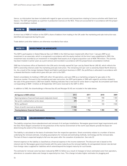Hence, no information has been included with regard to open accounts and transactions relating to licence activities with Statoil and Gassco. The SDFI participates as a partner in production licences on the NCS. These are accounted for in accordance with the proportionate consolidation method.

#### Note 10 Trade debtors

A minor loss of NOK 4.9 million on the SDFI's share of debtors from trading in the UK under the marketing and sale instruction was identified and expensed during the year.

Trade debtors and other debtors are otherwise recorded at face value.

## Note 11 Investment in associate

The SDFI's participation in Statoil Natural Gas LLC (SNG) in the USA has been treated with effect from 1 January 2009 as an investment in an associate, which is recognised in accordance with the equity method. At the time it was established in 2003, the investment was recorded as an investment in intangible fixed assets at an original acquisition cost of NOK 798 million. This activity has been treated in earlier years as a joint venture and recorded in accordance with the proportional consolidation method.

SNG has its business office at Stamford in the USA and is formally owned 56.5 per cent by Statoil Norsk LNG AS, which reflects the SDFI's ownership interest under the marketing and sale instruction. The remaining 43.5 per cent is owned by Statoil North America Inc. As a result of the merger between Statoil and Hydro's petroleum business in 2007, the profit/loss is allocated in accordance with a skewed distribution model which gives 48.4 per cent to the SDFI.

Statoil consolidates its holding in SNG with other US operations, and uses SNG as a marketing company for gas sales in the American market. Pursuant to the marketing and sale instruction, the SDFI participates in SNG with regard to activities related to the sale of the government's LNG from Snøhvit. Nothing indicates that a new test for write-down is required. Accumulated cash flows corresponding to NOK 1.3 billion at 30 September 2012 were reversed to the SDFI in 2012.

In addition to SNG, the shareholdings in Norsea Gas AS and Norpipe Oil AS are included in the table below.

| All figures in NOK million                              | 2012    | 2011  | 2010  | 2009  |
|---------------------------------------------------------|---------|-------|-------|-------|
| Opening balance financial fixed assets (adjusted share) | 1746    | 1382  | 908   | 1003  |
| Net profit credited before write-down                   | 692     | 363   | 291   | 88    |
| Write-up/(down)                                         |         |       | 183   | (183) |
| Share of profit reversed as dividend                    | (1336)  |       |       |       |
| <b>Closing balance financial fixed assets</b>           | 1 1 0 2 | 1 746 | 1 382 | 908   |

## Note 12 Abandonment/removal

The liability comprises future abandonment and removal of oil and gas installations. Norwegian government legal requirements and the Oslo-Paris (Ospar) convention for the protection of the marine environment of the north-east Atlantic provide the basis for determining the extent of the removal liability.

The liability is calculated on the basis of estimates from the respective operators. Great uncertainty relates to a number of factors underlying the removal estimate, including assumptions for removal and estimating methods, technology and the removal date. The last of these is expected largely to fall one-two years after the cessation of production. See note 22.

Interest expense on the liability is classified as a financial expense in the income statement. The discount rate is based on the interest rate for Norwegian government bonds with the same maturity as the removal liability. An extrapolated interest rate derived from foreign rates is applied for liabilities which extend beyond the longest maturity for such bonds.

The estimate for removal costs has been reduced by NOK 3.2 billion as a result of changes to future estimated costs from operators, alterations to cessation dates and change to expected price rises. This change includes higher estimates for plugging and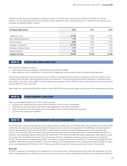abandoning wells and for shutting down installations, which is offset by lower expected price inflation. Estimates for removal expenses include operating costs for rigs and other vessels required for such complex operations. A reduction in the discount rate increases the liability by NOK 1.3 billion.

| All figures NOK million    | 2012    | 2011   | 2010    |
|----------------------------|---------|--------|---------|
|                            |         |        |         |
| Liability at 1 Jan         | 57 906  | 45 186 | 37 313  |
| New liabilities/disposals  | 1 1 7 6 | (756)  | 775     |
| Actual removal             | (635)   | (576)  | (107)   |
| Changes to estimates       | (3179)  | 1462   | 5 2 6 9 |
| Changes to discount rates  | 1313    | 10847  | 360     |
| Interest expense           | 1626    | 1743   | 1575    |
| <b>Liability at 31 Dec</b> | 58 207  | 57906  | 45 186  |

#### Other long-term liabilities NOTE<sub>13</sub>

Other long-term liabilities comprise:

- debt related to financial leasing of three LNG carriers delivered in 2006
- debt relating to the final settlement of commercial arrangements concerning the move to company-based gas sales.

Three financial leasing contracts were entered into in 2006 on the delivery of three ships for transporting LNG from Snøhvit. These contracts run for 20 years, with two options for five-year extensions. The future discounted minimum payment for financial leasing totals NOK 1 140 million. Of this, NOK 142 million falls due for payment in 2013, NOK 567 million in the subsequent four years and the residual NOK 431 million after 2017.

Other long-term liabilities total NOK 942 million, of which NOK 759 million falls due longer than five years from the balance sheet date.

#### **NOTE 14**

## Other current liabilities

Other current liabilities falling due in 2013 mainly comprise:

- provisions for unpaid costs accrued by licence operators in the accounts at November
- provisions for accrued unpaid costs at December, adjusted for cash calls in December
- other provisions for accrued unpaid costs not included in the accounts received from operators
- current share of long-term liabilities.

#### Financial instruments and risk management NOTE<sub>15</sub>

Only limited use is made of financial instruments (derivatives) to manage risk in the SDFI portfolio. This is primarily because the SDFI is owned by the state and is accordingly included in the government's overall risk management. The SDFI does not have significant interest-bearing debt, and all crude oil and NGL is sold to Statoil. Instruments used to hedge gas sales relate to forwards and futures. At 31 December 2012, the market value of the financial instruments was NOK 350 million in assets and NOK 360 million in liabilities. The comparable figures at the end of 2011 were NOK 1 701 million and NOK 548 million respectively. These figures include the market value of unlisted instruments. The market value of built-in derivatives related to end-user customers in continental Europe. This amounted to a supplementary NOK 1 438 million in assets and 18 million in liabilities. The corresponding figure for 2011 was NOK 1 988 million in assets and NOK 17 million in liabilities. The unrealised gain for the trading portfolio was virtually the same as the unrealised loss at 31 December 2012. Following a portfolio assessment, no provision has been made in the accounts.

#### Price risk

The SDFI is exposed to fluctuations in oil and gas prices in the world market. Statoil purchases all oil, NGL and condensate from the SDFI at market-based prices. SDFI revenue from gas sales to end users reflects market value. Based on the arrangement relating to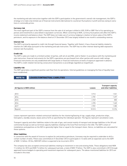the marketing and sale instruction together with the SDFI's participation in the government's overall risk management, the SDFI's strategy is to make only limited use of financial instruments (derivatives) to counteract fluctuations in profit and loss owing to variations in commodity prices.

#### Currency risk

The most significant part of the SDFI's revenue from the sale of oil and gas is billed in USD, EUR or GBP. Part of its operating expenses and investments is also billed in equivalent currencies. When converting to NOK, currency fluctuations will affect the SDFI's income statement and balance sheet. The SDFI does not make use of currency hedging in relation to future sales of the SDFI's petroleum, and its exposure in the balance sheet at 31 December 2012 was largely related to one month's outstanding revenue.

#### Interest risk

The SDFI is primarily exposed to credit risk through financial leases. Together with Statoil, it has a financial liability related to charters for LNG ships pursuant to the marketing and sale instruction. The SDFI has no other interest-bearing debt exposed to interest rate fluctuations.

#### Credit risk

The SDFI's sales are made to a limited number of parties, with all oil and NGL sold to Statoil. In accordance with the marketing and sale instruction, financial instruments for the SDFI's operations are purchased from other parties with sound credit ratings. Financial instruments are only established with large banks or financial institutions at levels of exposure approved in advance. The SDFI's credit-related risk during consecutive transactions is accordingly regarded as insignificant.

#### Liquidity risk

The SDFI generates a significant positive cash flow from its operations. Internal guidelines on managing the flow of liquidity have been established.



| All figures in NOK million | Leases  | <b>Transport capacity</b><br>and other liabilities |
|----------------------------|---------|----------------------------------------------------|
|                            |         |                                                    |
| 2013                       | 5912    | 531                                                |
| 2014                       | 4781    | 1497                                               |
| 2015                       | 4949    | 800                                                |
| 2016                       | 4396    | 1460                                               |
| 2017                       | 2 9 0 1 | 1 2 8 0                                            |
| Beyond                     | 10513   | 12 3 7 6                                           |

Leases represent operation-related contractual liabilities for the chartering/leasing of rigs, supply ships, production ships, helicopters, standby vessels, bases and so forth as specified by the individual operator. The figures represent cancellation costs.

Transport capacity and other liabilities relate to the sale of gas, and consist mainly of transport and storage liabilities in the UK and continental Europe as well as terminal capacity liabilities relating to the Cove Point terminal in the USA. The SDFI's share of installations and pipelines on the NCS is generally higher than or equal to the transport share. Hence, no liabilities are calculated for these systems.

#### Other liabilities

In connection with the award of licences to explore for and produce petroleum, licensees may be required to undertake to drill a certain number of wells. Petoro was committed at 31 December 2012 to participate in 12 wells with an expected cost to the SDFI of NOK 1.2 billion. Of this, NOK 829 million is expected to be incurred in 2013.

The company has also accepted contractual liabilities relating to investment in new and existing fields. These obligations total NOK 11.4 billion for 2013 and NOK 7.6 billion for subsequent periods, a total of NOK 19 billion. The SDFI is also committed in 2013 through approved licence budgets to operating and investment expenses for subsequent years. The above-mentioned liabilities for 2013 are included in this total.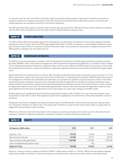In connection with the sale of the SDFI's oil and gas, Statoil has issued a limited number of warranties to vendors and owners of transport infrastructure relating to operations in the USA, the UK and continental Europe. Warranties issued in connection with trading operations are provided as security for the financial settlement.

The SDFI and Statoil deliver gas to customers under common gas sale agreements. SDFI gas reserves will be utilised in accordance with the SDFI's share of production from the fields selected to deliver the gas at any given time.

#### Other liabilities **NOTE 17**

The SDFI could be affected by possible legal actions and disputes as a participant in production licences, fields, pipelines and landbased plants, and in the joint sale of the SDFI's gas together with Statoil. The SDFI is involved in current disputes relating to issues in joint ventures in which Petoro is a licensee. Provisions have been made in the accounts for issues where a negative outcome for the SDFI portfolio is thought to be more likely than not.

#### Significant estimates **NOTE 18**

The SDFI accounts are presented in accordance with the Norwegian Accounting Act and Norwegian generally accepted accounting principles (NGAAP), which means that the management makes assessments and exercises judgement in a number of areas. Changes in the underlying assumptions could have a substantial effect on the accounts. Where the SDFI portfolio is concerned, it is presumed that assessments of reserves, removal of installations, exploration expenses and financial instruments could have the largest significance.

Recoverable reserves include volumes of crude oil, NGL (including condensate) and dry gas as reported in resource classes 1-3 in the NPD's classification system. Only reserves for which the licensees' plan for development and operation (PDO) has been sanctioned in the management committee and submitted to the authorities are included in the portfolio's expected reserves. A share of the field's remaining reserves in production (resource class 1) provides the basis for depreciation. A share of oil and gas respectively is calculated annually for the portfolio to represent the relationship between low and basis reserves. This common share is used to calculate the depreciation basis for each field. The downwardly adjusted basis reserves which form the basis for depreciation expenses have great significance for the result, and adjustments to the reserve base can cause major changes to the SDFI's profit.

Drilling expenses are capitalised temporarily until an assessment has been made of whether oil or gas reserves have been found. Assessments of the extent to which these expenses should remain capitalised or be written down in the period will affect results for the period.

Substantial investments in tangible fixed assets have been made in the SDFI portfolio. Each time the accounts are made up, these are reviewed for indications of a fall in value. The assessment of whether an asset must be written down builds to a great extent on judgements and assumptions about the future.

Reference is otherwise made to the description of the company's accounting principles and to notes 12 and 15, which describe the company's treatment of exploration expenses, uncertainties related to removal and financial instruments.

### Note 19 Equity

| All figures in NOK million             | 2012     | 2011     | 2010     |
|----------------------------------------|----------|----------|----------|
| Equity at 1 Jan                        | 152029   | 146 456  | 144 649  |
| Net income for the year                | 149 986  | 133 721  | 105 379  |
| Cash transfers to the government       | (146930) | [128083] | (103572) |
| Items recorded directly against equity |          | (64)     |          |
| <b>Equity at 31 Dec</b>                | 155 085  | 152029   | 146 456  |

Equity at 1 January includes a capital contribution of NOK 9.1 billion paid to Statoil on 1 January 1985 for the participatory interests acquired by the SDFI from Statoil. It otherwise includes accumulated income reduced by net cash transfers to the government.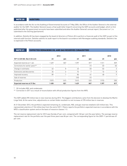#### **AUDITORS NOTE 20**

In accordance with the Act on the Auditing of Governmental Accounts of 7 May 2004, the Office of the Auditor General is the external auditor for the SDFI. The Auditor General issues a final audit letter (report) concerning the SDFI accounts and budget, which is first published after the government accounts have been submitted and when the Auditor General's annual report, Document no 1, is submitted to the Storting (parliament).

In addition, Deloitte AS has been engaged by the board of directors of Petoro AS to perform a financial audit of the SDFI as part of the internal audit function. Deloitte submits its audit report to the board in accordance with Norwegian auditing standards. Deloitte's fee is expensed in the Petoro accounts.

#### Expected remaining oil and gas reserves (unaudited) **NOTE 21**

|                                    |       | 2012 |       | 2011  |       | 2010 |
|------------------------------------|-------|------|-------|-------|-------|------|
| Oil* in mill bbl. Gas in bn scm    | oil   | gas  | oil   | gas   | oil   | gas  |
| Expected reserves at 1 Jan         | 1429  | 847  | 397   | 817   | 511   | 839  |
| Corrections for earlier years**    |       |      |       | 11    | (2)   | (6)  |
| Change in estimates                | 62    | 8    | 43    | $[3]$ | (4)   | 3    |
| Extensions and discoveries         | 34    |      | 74    |       | 16    | 8    |
| Improved recovery                  | 89    |      | 86    | 61    | 48    | Q    |
| Sale of reserves                   |       |      | (10)  | '1)   |       |      |
| Production                         | (157) | (41) | (161) | (33)  | (172) | (35) |
| <b>Expected reserves at 31 Dec</b> | 1458  | 821  | 1429  | 847   | 1397  | 817  |

\* Oil includes NGL and condensate.

\*\* Correction in 2011 as a result of reconciliation with official production figures from the NPD.

The SDFI added 290 million boe in new reserves during 2012. The biggest contributions came from the decision to develop the Martin Linge field. At the same time, adjustments on certain fields resulted in a net increase of 278 million boe in reserves.

At 31 December 2012, the portfolio's expected remaining oil, condensate, NGL and gas reserves totalled 6 623 million boe. This represented a decline of 136 million boe from the end of 2011. Petoro reports the portfolio's expected reserves in accordance with the NPD's classification system and on the basis of resource classes 1-3.

The net reserve replacement rate for 2012 was thereby 67 per cent, compared with 160 per cent the year before. The average reserve replacement rate for the portfolio over the past three years was 86 per cent. The corresponding figure for the 2009-11 period was 49 per cent.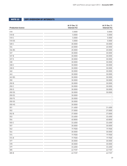# Note 22 SDFI overview of interests

| <b>Production licence</b> | At 31 Dec 12<br>Interest (%) | At 31 Dec 11<br>Interest (%) |
|---------------------------|------------------------------|------------------------------|
| 018                       | 5.0000                       | 5.0000                       |
| 018 B                     | 5.0000                       | 5.0000                       |
| 018 C                     | 5.0000                       | 5.0000                       |
| 018 DS                    | 5.0000                       | 5.0000                       |
| 028 C                     | 30.0000                      | 30.0000                      |
| 034                       | 40.0000                      | 40.0000                      |
| 036 BS                    | 20.0000                      | 20.0000                      |
| 037                       | 30.0000                      | 30.0000                      |
| 037 B                     | 30.0000                      | 30.0000                      |
| 037 E                     | 30.0000                      | 30.0000                      |
| 038                       | 30.0000                      | 30.0000                      |
| 038 C                     | 30.0000                      | 30.0000                      |
| 038 D                     | 30.0000                      | 30.0000                      |
| 040                       | 30.0000                      | 30.0000                      |
| 043                       | 30.0000                      | 30.0000                      |
| 043 BS                    | 30.0000                      | 30.0000                      |
| 050                       | 30.0000                      | 30.0000                      |
| 050 B                     | 30.0000                      | 30.0000                      |
| 050 C                     | 30.0000                      | 30.0000                      |
| 050 D                     | 30.0000                      | 30.0000                      |
| 050 DS                    | 30.0000                      | 30.0000                      |
| 050 ES                    | 30.0000                      |                              |
| 050 FS                    | 30.0000                      |                              |
| 050 GS                    | 30.0000                      |                              |
| 050 HS                    | 30.0000                      |                              |
| 051                       | 31.4000                      | 31.4000                      |
| 052                       | 37.0000                      | 37.0000                      |
| 052 B                     | 37.0000                      | 37.0000                      |
| 053                       | 33.6000                      | 33.6000                      |
| 054                       | 40.8000                      | 40.8000                      |
| 055 C                     | 33.6000                      | 33.6000                      |
| 057                       | 30.0000                      | 30.0000                      |
| 062                       | 19.9500                      | 19.9500                      |
| 064                       | 30.0000                      | 30.0000                      |
| 074                       | 19.9500                      | 19.9500                      |
| 074 B                     | 19.9500                      | 19.9500                      |
| 077                       | 30.0000                      | 30.0000                      |
| 078                       | 30.0000                      | 30.0000                      |
| 079                       | 33.6000                      | 33.6000                      |
| 085                       | 62.9187                      | 62.9187                      |
| 085 B                     | 62.9187                      | 62.9187                      |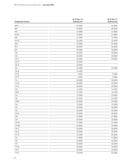| <b>Production licence</b> | At 31 Dec 12<br>Interest (%) | At 31 Dec 11<br>Interest (%) |
|---------------------------|------------------------------|------------------------------|
| 085 C                     | 56.0000                      | 56.0000                      |
| 089                       | 30.0000                      | 30.0000                      |
| 093                       | 47.8800                      | 47.8800                      |
| 093B                      | 47.8800                      | 47.8800                      |
| 094                       | 14.9500                      | 14.9500                      |
| 094B                      | 35.6900                      | 35.6900                      |
| 095                       | 59.0000                      | 59.0000                      |
| 097                       | 30.0000                      | 30.0000                      |
| 099                       | 30.0000                      | 30.0000                      |
| 100                       | 30.0000                      | 30.0000                      |
| 102                       | 30.0000                      | 30.0000                      |
| 102 C                     | 30.0000                      | 30.0000                      |
| 102 D                     | 30.0000                      |                              |
| 102 E                     | 30.0000                      |                              |
| 104                       | 33.6000                      | 33.6000                      |
| 104 B                     | 33.6000                      |                              |
| 107B                      | 7.5000                       | 7.5000                       |
| 107 D                     | 7.5000                       | 7.5000                       |
| 110                       | 30.0000                      | 30.0000                      |
| 110 B                     | 30.0000                      | 30.0000                      |
| 110 C                     | 30.0000                      | 30.0000                      |
| 120                       | 16.9355                      | 16.9355                      |
| 120 B                     | 16.9355                      | 16.9355                      |
| 124                       | 27.0900                      | 27.0900                      |
| 128                       | 24.5455                      | 24.5455                      |
| 128 B                     | 54.0000                      | 54.0000                      |
| 134                       | 13.5500                      | 13.5500                      |
| 152                       | 30.0000                      | 30.0000                      |
| 153                       | 30.0000                      | 30.0000                      |
| 153 B                     | 30.0000                      | 30.0000                      |
| 158                       | 47.8800                      | 47.8800                      |
| 169                       | 30.0000                      | 30.0000                      |
| 169 B1                    | 37.5000                      | 37.5000                      |
| 169 B <sub>2</sub>        | 30.0000                      | 30.0000                      |
| 169 C                     | 50.0000                      | 30.0000                      |
| 169 D                     | 30.0000                      | 30.0000                      |
| 171 B                     | 33.6000                      | 33.6000                      |
| 176                       | 47.8800                      | 47.8800                      |
| 190                       | 40.0000                      | 40.0000                      |
| 193                       | 30.0000                      | 30.0000                      |
| 193 B                     | 30.0000                      | 30.0000                      |
| 193 C                     | 30.0000                      | 30.0000                      |
| 193 D                     | 30.0000                      | 30.0000                      |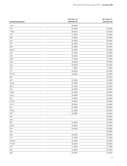|                           | At 31 Dec 12 | At 31 Dec 11 |
|---------------------------|--------------|--------------|
| <b>Production licence</b> | Interest (%) | Interest (%) |
| 193 E                     | 30.0000      |              |
| 195                       | 35.0000      | 35.0000      |
| 195 B                     | 35.0000      | 35.0000      |
| 199                       | 27.0000      | 27.0000      |
| 208                       | 30.0000      | 30.0000      |
| 209                       | 35.0000      | 35.0000      |
| 237                       | 35.6900      | 35.6900      |
| 248                       | 40.0000      | 40.0000      |
| 248 B                     | 40.0000      | 40.0000      |
| 250                       | 45.0000      | 45.0000      |
| 255                       | 30.0000      | 30.0000      |
| 263C                      | 19.9500      | 19.9500      |
| $264*$                    | 30.0000      | 30.0000      |
| 265                       | 30.0000      | 30.0000      |
| 275                       | 5.0000       | 5.0000       |
| 277                       | 30.0000      | 30.0000      |
| 277 B*                    | 30.0000      | 30.0000      |
| 283                       |              | 20.0000      |
| 309                       | 33.6000      | 33.6000      |
| 309 B                     | 33.6000      | 33.6000      |
| 309 C                     | 33.6000      | 33.6000      |
| 318                       | 20.0000      | 20.0000      |
| 318 B                     | 20.0000      | 20.0000      |
| 318 C                     | 20.0000      | 20.0000      |
| 327                       | 20.0000      | 20.0000      |
| 327 B                     | 20.0000      | 20.0000      |
| 374 S                     | 20.0000      | 20.0000      |
| 393                       | 20.0000      | 20.0000      |
| 393 B                     | 20.0000      | 20.0000      |
| 395                       | 20.0000      | 20.0000      |
| 396                       |              | 20.0000      |
| 400                       |              | 20.0000      |
| 402                       | 20.0000      | 20.0000      |
| 402 B                     | 20.0000      | 20.0000      |
| 438                       | 20.0000      | 20.0000      |
| 439                       |              | 20.0000      |
| 448                       | 30.0000      | 30.0000      |
| 473                       | 19.9500      | 19.9500      |
| 475 BS                    | 30.0000      | 30.0000      |
| 475 CS                    | 30.0000      | 30.0000      |
| 479                       | 14.9500      | 14.9500      |
| 482                       | 20.0000      | 20.0000      |
| 488                       | 30.0000      | 30.0000      |
|                           |              |              |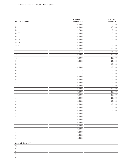| <b>Production licence</b> | At 31 Dec 12<br>Interest (%) | At 31 Dec 11<br>Interest (%) |
|---------------------------|------------------------------|------------------------------|
| 489                       | 20.0000                      | 20.0000                      |
| 502                       | 33.3333                      | 33.3333                      |
| 504                       | 32.2300                      | 3.0000                       |
| 504 BS                    | 3.0000                       | 3.0000                       |
| 506 BS                    | 20.0000                      | 20.0000                      |
| 506 CS                    | 20.0000                      | 20.0000                      |
| 506 DS                    | 20.0000                      |                              |
| 506 S                     | 20.0000                      | 20.0000                      |
| 511                       | 20.0000                      | 20.0000                      |
| 516                       | 24.5455                      | 24.5455                      |
| 522                       | 20.0000                      | 20.0000                      |
| 527                       | 20.0000                      | 20.0000                      |
| 532                       | 20.0000                      | 20.0000                      |
| 536                       |                              | 20.0000                      |
| 537                       | 20.0000                      | 20.0000                      |
| 538                       |                              | 20.0000                      |
| 545                       |                              | 20.0000                      |
| 552                       | 30.0000                      | 30.0000                      |
| 558                       | 20.0000                      | 20.0000                      |
| 562                       | 20.0000                      | 20.0000                      |
| 566 S                     | 20.0000                      | 20.0000                      |
| 568                       | 20.0000                      | 20.0000                      |
| 598                       | 20.0000                      | 20.0000                      |
| 602                       | 20.0000                      | 20.0000                      |
| 605                       | 20.0000                      | 20.0000                      |
| 608                       | 20.0000                      | 20.0000                      |
| 611                       | 20.0000                      | 20.0000                      |
| 612                       | 20.0000                      | 20.0000                      |
| 615                       | 20.0000                      | 20.0000                      |
| 618                       | 20.0000                      | $\overline{\phantom{0}}$     |
| 625                       | 20.0000                      | ٠                            |
| 628                       | 20.0000                      | $\qquad \qquad -$            |
| 638                       | 20.0000                      | ۰                            |
| 639                       | 20.0000                      | ۰                            |
| 642                       | 20.0000                      |                              |
| 656                       | 20.0000                      |                              |
| 657                       | 20.0000                      |                              |
| 659                       | 30.0000                      |                              |
|                           |                              |                              |

## **Net profit licences\*\***

| 027 |  |
|-----|--|
| 028 |  |
| 029 |  |
| 033 |  |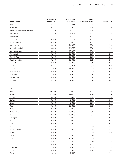|                                 | At 31 Dec 12 | At 31 Dec 11 | Remaining         |              |
|---------------------------------|--------------|--------------|-------------------|--------------|
| <b>Unitised fields</b>          | Interest (%) | Interest (%) | production period | Licence term |
| Gimle Unit                      | 24.1863      | 24.1863      | 2023              | 2023         |
| Grane Unit                      | 28.9425      | 28.9425      | 2030              | 2030         |
| Halten Bank West Unit (Kristin) | 19.5770      | 19.5770      | 2032              | 2027         |
| Heidrun Unit                    | 57.7934      | 57.4029      | 2044              | 2024         |
| Huldra Unit                     | 31.9553      | 31.9553      | 2015              | 2015         |
| Jette Unit                      | 30.0000      |              | 2019              | 2030         |
| Martin Linge Unit               | 30.0000      | 30.0000      | 2027              | 2027         |
| Norne Inside                    | 54.0000      | 54.0000      | 2030              | 2026         |
| Ormen Lange Unit                | 36.4750      | 36.4750      | 2036              | 2040         |
| Oseberg Area Unit               | 33.6000      | 33.6000      | 2041              | 2031         |
| Snorre Unit                     | 30.0000      | 30.0000      | 2039              | 2015         |
| Snøhvit Unit                    | 30.0000      | 30.0000      | 2054              | 2035         |
| <b>Statfjord East Unit</b>      | 30.0000      | 30.0000      | 2025              | 2024         |
| Sygna Unit                      | 30.0000      | 30.0000      | 2025              | 2024         |
| <b>Tor Unit</b>                 | 3.6874       | 3.6874       | 2049              | 2028         |
| <b>Troll Unit</b>               | 56.0000      | 56.0000      | 2058              | 2030         |
| Valemon Unit                    | 30.0000      | 30.0000      | 2042              | 2031         |
| Vega Unit                       | 24.0000      | 24.0000      | 2024              | 2035         |
| Visund Inside                   | 30.0000      | 30.0000      | 2034              | 2034         |
| Åsgard Unit                     | 35.6900      | 35.6900      | 2029              | 2027         |

**Fields**

| 30.0000 | 30.0000 | 2017 | 2025 |
|---------|---------|------|------|
| 47.8800 | 47.8800 | 2034 | 2024 |
| 5.0000  | 5.0000  | 2049 | 2028 |
| 5.0000  | 5.0000  | 2049 | 2028 |
| 5.0000  | 5.0000  | 2050 | 2028 |
| 30.0000 | 30.0000 | 2027 | 2028 |
| 30.0000 | 30.0000 | 2040 | 2036 |
| 30.0000 | 30.0000 | 2036 | 2036 |
| 20.0000 | 20.0000 | 2015 | 2021 |
| 30.0000 | 30.0000 | 2045 | 2031 |
| 30.0000 | 30.0000 | 2014 | 2021 |
| 30.0000 | 30.0000 | 2017 | 2025 |
| 24.5455 |         | 2030 | 2026 |
| 30.0000 | 30.0000 | 2025 | 2026 |
| 30.0000 |         | 2030 | 2030 |
| 30.0000 | 30.0000 | 2030 | 2024 |
| 40.0000 | 40.0000 | 2015 | 2032 |
| 24.5455 | 24.5455 | 2030 | 2026 |
| 30.0000 | 30.0000 | 2021 | 2021 |
| 37.0000 | 37.0000 | 2023 | 2020 |
| 30.0000 | 30.0000 | 2031 | 2024 |
| 19.9500 | 19.9500 |      | 2027 |
|         |         |      |      |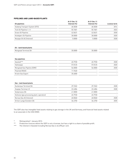## Pipelines and land-based plants

| At 31 Dec 12 | At 31 Dec 11 |              |
|--------------|--------------|--------------|
| Interest (%) | Interest [%] | Licence term |
| 48.3838      | 48.3838      | 2014         |
| 55.7681      | 55.7681      | 2023         |
| 42.0631      | 42.0631      | 2030         |
| 30,0000      | 30,0000      | 2020         |
| 5.0000       | 5.0000       | 2028         |
|              |              |              |

#### **Oil - land-based plants**

| $\mathbf{1}$<br>____ | 000۲ .<br>. | .0000<br>. |  |
|----------------------|-------------|------------|--|
|                      |             |            |  |

| <b>Gas pipelines</b>        |         |                          |      |
|-----------------------------|---------|--------------------------|------|
| Gassled***                  | 45.7930 | 45.7930                  | 2028 |
| Haltenpipe                  | 57.8125 | 57.8125                  | 2020 |
| Mongstad Gas Pipeline (EMV) | 56,0000 | 56,0000                  | 2030 |
| Polarled (NSGI)             | 11.9460 | $\overline{\phantom{0}}$ |      |
| Kristin Gas Export          | 35.6000 | $\overline{\phantom{a}}$ |      |
|                             |         |                          |      |

#### **Gas - land-based plants**

| Dunkerque Terminal DA                      | 29.7652 | 29.7652 | 2028 |
|--------------------------------------------|---------|---------|------|
| Zeepipe Terminal JV                        | 22 4384 | 22.4384 | 2028 |
| Vestprosess DA                             | 41.0000 | 41.0000 |      |
| Kollsnes (gas processing plant, operation) | 45.7930 | 45.7930 |      |
| Norsea Gas AS (Interest)                   | 40.0060 | 40.0060 | 2028 |
| Ormen Lange Eiendom DA                     | 36.4750 | 36.4750 | 2035 |

The SDFI also has intangible fixed assets relating to gas storage in the UK and Germany, and financial fixed assets related to an associate in the USA (SNG).

\* Relinquished 1 January 2013.

\*\* Production licences where the SDFI is not a licensee, but has a right to a share of possible profit.

\*\*\* The interest in Gassled including Norsea Gas is 46.698 per cent.